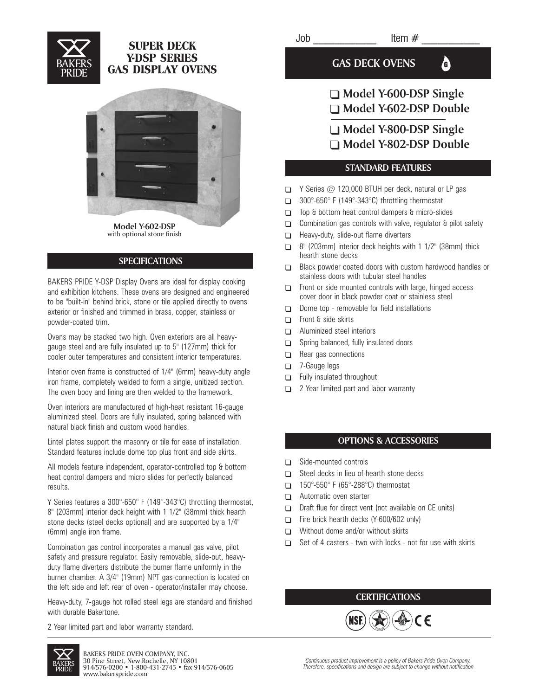

## **SUPER DECK Y-DSP SERIES GAS DISPLAY OVENS**



**Model Y-602-DSP** with optional stone finish

### **SPECIFICATIONS**

BAKERS PRIDE Y-DSP Display Ovens are ideal for display cooking and exhibition kitchens. These ovens are designed and engineered to be "built-in" behind brick, stone or tile applied directly to ovens exterior or finished and trimmed in brass, copper, stainless or powder-coated trim.

Ovens may be stacked two high. Oven exteriors are all heavygauge steel and are fully insulated up to 5" (127mm) thick for cooler outer temperatures and consistent interior temperatures.

Interior oven frame is constructed of 1/4" (6mm) heavy-duty angle iron frame, completely welded to form a single, unitized section. The oven body and lining are then welded to the framework.

Oven interiors are manufactured of high-heat resistant 16-gauge aluminized steel. Doors are fully insulated, spring balanced with natural black finish and custom wood handles.

Lintel plates support the masonry or tile for ease of installation. Standard features include dome top plus front and side skirts.

All models feature independent, operator-controlled top & bottom heat control dampers and micro slides for perfectly balanced results.

Y Series features a 300°-650° F (149°-343°C) throttling thermostat, 8" (203mm) interior deck height with 1 1/2" (38mm) thick hearth stone decks (steel decks optional) and are supported by a 1/4" (6mm) angle iron frame.

Combination gas control incorporates a manual gas valve, pilot safety and pressure regulator. Easily removable, slide-out, heavyduty flame diverters distribute the burner flame uniformly in the burner chamber. A 3/4" (19mm) NPT gas connection is located on the left side and left rear of oven - operator/installer may choose.

Heavy-duty, 7-gauge hot rolled steel legs are standard and finished with durable Bakertone.

2 Year limited part and labor warranty standard.

GAS DECK OVENS **G** 

# - **Model Y-600-DSP Single** - **Model Y-602-DSP Double**

- **Model Y-800-DSP Single**
- **Model Y-802-DSP Double**

#### **STANDARD FEATURES**

- $\Box$  Y Series @ 120,000 BTUH per deck, natural or LP gas
- □ 300°-650°F (149°-343°C) throttling thermostat
- □ Top & bottom heat control dampers & micro-slides
- $\Box$ Combination gas controls with valve, regulator & pilot safety
- $\Box$ Heavy-duty, slide-out flame diverters
- $\Box$ 8" (203mm) interior deck heights with 1 1/2" (38mm) thick hearth stone decks
- $\Box$ Black powder coated doors with custom hardwood handles or stainless doors with tubular steel handles
- $\Box$ Front or side mounted controls with large, hinged access cover door in black powder coat or stainless steel
- $\Box$ Dome top - removable for field installations
- $\Box$ Front & side skirts
- $\Box$ Aluminized steel interiors
- $\Box$ Spring balanced, fully insulated doors
- $\Box$ Rear gas connections
- $\Box$ 7-Gauge legs
- $\Box$ Fully insulated throughout
- $\Box$ 2 Year limited part and labor warranty

#### **OPTIONS & ACCESSORIES**

- $\Box$ Side-mounted controls
- $\Box$ Steel decks in lieu of hearth stone decks
- $\Box$ 150°-550° F (65°-288°C) thermostat
- $\Box$ Automatic oven starter
- $\Box$ Draft flue for direct vent (not available on CE units)
- $\Box$ Fire brick hearth decks (Y-600/602 only)
- $\Box$ Without dome and/or without skirts
- $\Box$ Set of 4 casters - two with locks - not for use with skirts

### **CERTIFICATIONS**



 $Job$   $Item \#$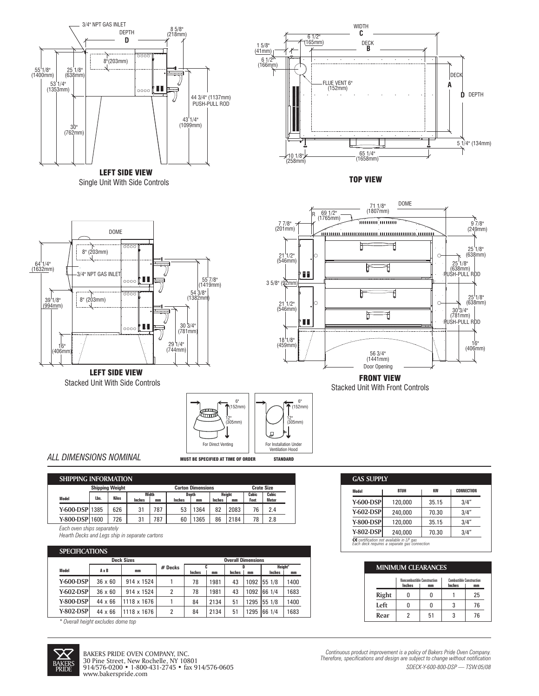

Single Unit With Side Controls LEFT SIDE VIEW



TOP VIEW





Stacked Unit With Front Controls

6" 6"  $\overline{\mathbf{\hat{T}}}$  (152mm)  $(152m)$  $\pi$ G  $(305 \text{mm})$   $\begin{array}{|c|c|c|c|}\n\hline\n\text{(305mm)}\n\hline\n\text{(305mm)}\n\hline\n\end{array}$ (305mm) For Direct Venting For Installation Under Ventilation Hood

> 76 78

2.4 2.8

ALL DIMENSIONS NOMINAL MUST BE SPECIFIED AT TIME OF ORDER STANDARD

82 2083 86

2184

| IMENSIONS NOMINAL |  |
|-------------------|--|
|                   |  |

Stacked Unit With Side Controls

626

31 31

787 787

|  | ING INFORMATION                                    |              |               |              |               |                   |               |       |              |              |  |
|--|----------------------------------------------------|--------------|---------------|--------------|---------------|-------------------|---------------|-------|--------------|--------------|--|
|  | <b>Shipping Weight</b><br><b>Carton Dimensions</b> |              |               |              |               | <b>Crate Size</b> |               |       |              |              |  |
|  |                                                    | Width        |               | <b>Depth</b> |               | Height            |               | Cubic | <b>Cubic</b> |              |  |
|  | Lbs.                                               | <b>Kilos</b> | <b>Inches</b> | mm           | <b>Inches</b> | mm                | <b>Inches</b> | mm    | Feet         | <b>Meter</b> |  |

53 1364 60 1365

**Y-800-DSP** 1600 726 *Each oven ships separately*

*Hearth Decks and Legs ship in separate cartons*

#### **SPECIFICATIONS**

**Y-600-DSP** 1385

**SHIPP** 

**Model**

| ы выгалыны       |                                                |             |         |               |      |        |      |         |      |
|------------------|------------------------------------------------|-------------|---------|---------------|------|--------|------|---------|------|
|                  | <b>Deck Sizes</b><br><b>Overall Dimensions</b> |             |         |               |      |        |      |         |      |
| Model            | AxB<br>mm                                      |             | # Decks |               |      |        |      | Height* |      |
|                  |                                                |             |         | <b>Inches</b> | mm   | Inches | mm   | Inches  | mm   |
| <b>Y-600-DSP</b> | $36 \times 60$                                 | 914 x 1524  |         | 78            | 1981 | 43     | 1092 | 55 1/8  | 1400 |
| Y-602-DSPl       | $36 \times 60$                                 | 914 x 1524  | 2       | 78            | 1981 | 43     | 1092 | 66 1/4  | 1683 |
| <b>Y-800-DSP</b> | $44 \times 66$                                 | 1118 x 1676 |         | 84            | 2134 | 51     | 1295 | 55 1/8  | 1400 |
| <b>Y-802-DSP</b> | $44 \times 66$                                 | 1118 x 1676 | 2       | 84            | 2134 | 51     | 1295 | 66 1/4  | 1683 |

*\* Overall height excludes dome top*



**GAS SUPPLY Model Y-600-DSP Y-602-DSP Y-800-DSP Y-802-DSP** 120,000 240,000 120,000 240,000 35.15 70.30 35.15 70.30 3/4" 3/4" 3/4" 3/4" **BTUH KW CONNECTION** *certification not available in LP gas Each deck requires a separate gas connection* **CE**

| <b>MINIMUM CLEARANCES</b> |                                              |    |                                                        |    |  |  |  |  |  |
|---------------------------|----------------------------------------------|----|--------------------------------------------------------|----|--|--|--|--|--|
|                           | <b>Noncombustible Construction</b><br>Inches | mm | <b>Combustible Construction</b><br><b>Inches</b><br>mm |    |  |  |  |  |  |
| Right                     |                                              |    |                                                        | 25 |  |  |  |  |  |
| Left                      |                                              |    |                                                        | 76 |  |  |  |  |  |
| Rear                      |                                              | 51 |                                                        | 76 |  |  |  |  |  |

*Continuous product improvement is a policy of Bakers Pride Oven Company. Therefore, specifications and design are subject to change without notification SDECK-Y-600-800-DSP — TSW:05/08*